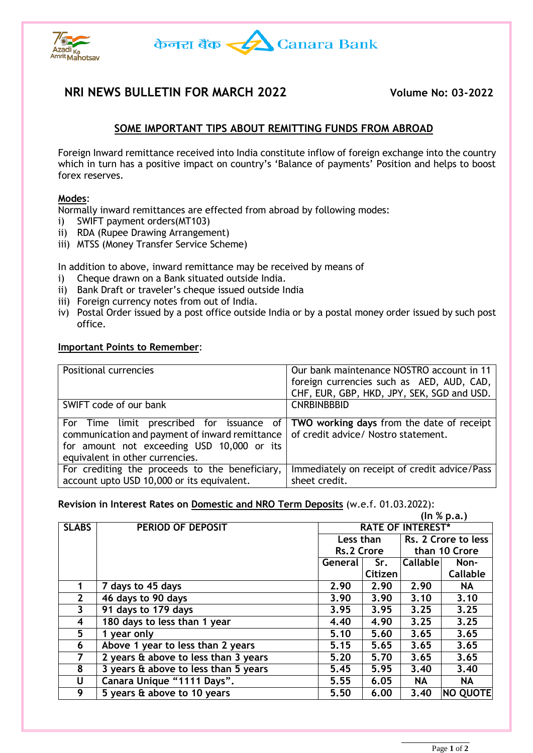



# **NRI NEWS BULLETIN FOR MARCH 2022 Volume No: 03-2022**

## **SOME IMPORTANT TIPS ABOUT REMITTING FUNDS FROM ABROAD**

Foreign Inward remittance received into India constitute inflow of foreign exchange into the country which in turn has a positive impact on country's 'Balance of payments' Position and helps to boost forex reserves.

### **Modes**:

Normally inward remittances are effected from abroad by following modes:

- i) SWIFT payment orders(MT103)
- ii) RDA (Rupee Drawing Arrangement)
- iii) MTSS (Money Transfer Service Scheme)

In addition to above, inward remittance may be received by means of

- i) Cheque drawn on a Bank situated outside India.
- ii) Bank Draft or traveler's cheque issued outside India
- iii) Foreign currency notes from out of India.
- iv) Postal Order issued by a post office outside India or by a postal money order issued by such post office.

#### **Important Points to Remember**:

| <b>Positional currencies</b>                                                                                                                                                                                                                                 | Our bank maintenance NOSTRO account in 11                     |
|--------------------------------------------------------------------------------------------------------------------------------------------------------------------------------------------------------------------------------------------------------------|---------------------------------------------------------------|
|                                                                                                                                                                                                                                                              | foreign currencies such as AED, AUD, CAD,                     |
|                                                                                                                                                                                                                                                              | CHF, EUR, GBP, HKD, JPY, SEK, SGD and USD.                    |
| SWIFT code of our bank                                                                                                                                                                                                                                       | <b>CNRBINBBBID</b>                                            |
| For Time limit prescribed for issuance of TWO working days from the date of receipt<br>communication and payment of inward remittance   of credit advice/ Nostro statement.<br>for amount not exceeding USD 10,000 or its<br>equivalent in other currencies. |                                                               |
| For crediting the proceeds to the beneficiary,<br>account upto USD 10,000 or its equivalent.                                                                                                                                                                 | Immediately on receipt of credit advice/Pass<br>sheet credit. |

#### **Revision in Interest Rates on Domestic and NRO Term Deposits** (w.e.f. 01.03.2022): **(In % p.a.)**

|                |                                      |                          |            |                 | (III / D, a, J      |  |
|----------------|--------------------------------------|--------------------------|------------|-----------------|---------------------|--|
| <b>SLABS</b>   | PERIOD OF DEPOSIT                    | <b>RATE OF INTEREST*</b> |            |                 |                     |  |
|                |                                      |                          | Less than  |                 | Rs. 2 Crore to less |  |
|                |                                      |                          | Rs.2 Crore |                 | than 10 Crore       |  |
|                |                                      | General                  | Sr.        | <b>Callable</b> | Non-                |  |
|                |                                      |                          | Citizen    |                 | Callable            |  |
|                | 7 days to 45 days                    | 2.90                     | 2.90       | 2.90            | <b>NA</b>           |  |
| $\overline{2}$ | 46 days to 90 days                   | 3.90                     | 3.90       | 3.10            | 3.10                |  |
| 3              | 91 days to 179 days                  | 3.95                     | 3.95       | 3.25            | 3.25                |  |
| 4              | 180 days to less than 1 year         | 4.40                     | 4.90       | 3.25            | 3.25                |  |
| 5              | 1 year only                          | 5.10                     | 5.60       | 3.65            | 3.65                |  |
| 6              | Above 1 year to less than 2 years    | 5.15                     | 5.65       | 3.65            | 3.65                |  |
| 7              | 2 years & above to less than 3 years | 5.20                     | 5.70       | 3.65            | 3.65                |  |
| 8              | 3 years & above to less than 5 years | 5.45                     | 5.95       | 3,40            | 3.40                |  |
| U              | Canara Unique "1111 Days".           | 5.55                     | 6.05       | <b>NA</b>       | <b>NA</b>           |  |
| 9              | 5 years & above to 10 years          | 5.50                     | 6.00       | 3.40            | NO QUOTE            |  |